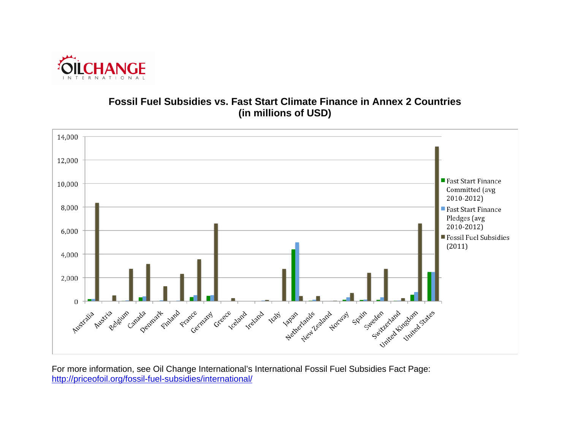

## **Fossil Fuel Subsidies vs. Fast Start Climate Finance in Annex 2 Countries (in millions of USD)**



For more information, see Oil Change International's International Fossil Fuel Subsidies Fact Page: <http://priceofoil.org/fossil-fuel-subsidies/international/>